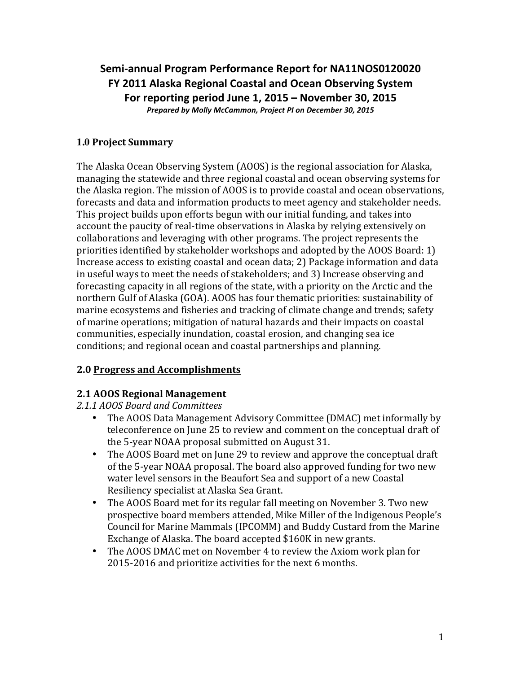Semi-annual Program Performance Report for NA11NOS0120020 **FY 2011 Alaska Regional Coastal and Ocean Observing System For reporting period June 1, 2015 – November 30, 2015** *Prepared by Molly McCammon, Project PI on December 30, 2015*

### **1.0 Project Summary**

The Alaska Ocean Observing System (AOOS) is the regional association for Alaska, managing the statewide and three regional coastal and ocean observing systems for the Alaska region. The mission of AOOS is to provide coastal and ocean observations, forecasts and data and information products to meet agency and stakeholder needs. This project builds upon efforts begun with our initial funding, and takes into account the paucity of real-time observations in Alaska by relying extensively on collaborations and leveraging with other programs. The project represents the priorities identified by stakeholder workshops and adopted by the AOOS Board:  $1$ ) Increase access to existing coastal and ocean data; 2) Package information and data in useful ways to meet the needs of stakeholders; and 3) Increase observing and forecasting capacity in all regions of the state, with a priority on the Arctic and the northern Gulf of Alaska (GOA). AOOS has four thematic priorities: sustainability of marine ecosystems and fisheries and tracking of climate change and trends; safety of marine operations; mitigation of natural hazards and their impacts on coastal communities, especially inundation, coastal erosion, and changing sea ice conditions; and regional ocean and coastal partnerships and planning.

#### **2.0 Progress and Accomplishments**

## **2.1 AOOS Regional Management**

*2.1.1 AOOS Board and Committees*

- The AOOS Data Management Advisory Committee (DMAC) met informally by teleconference on June 25 to review and comment on the conceptual draft of the 5-year NOAA proposal submitted on August 31.
- The AOOS Board met on June 29 to review and approve the conceptual draft of the 5-year NOAA proposal. The board also approved funding for two new water level sensors in the Beaufort Sea and support of a new Coastal Resiliency specialist at Alaska Sea Grant.
- The AOOS Board met for its regular fall meeting on November 3. Two new prospective board members attended, Mike Miller of the Indigenous People's Council for Marine Mammals (IPCOMM) and Buddy Custard from the Marine Exchange of Alaska. The board accepted \$160K in new grants.
- The AOOS DMAC met on November 4 to review the Axiom work plan for 2015-2016 and prioritize activities for the next 6 months.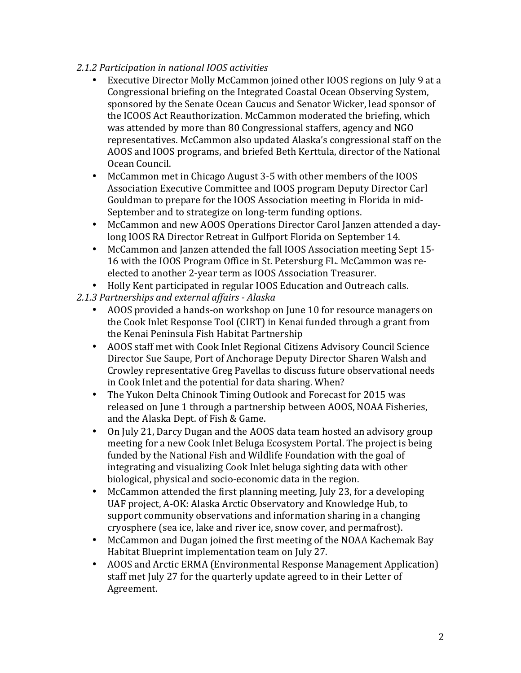#### *2.1.2 Participation in national IOOS activities*

- Executive Director Molly McCammon joined other IOOS regions on July 9 at a Congressional briefing on the Integrated Coastal Ocean Observing System, sponsored by the Senate Ocean Caucus and Senator Wicker, lead sponsor of the ICOOS Act Reauthorization. McCammon moderated the briefing, which was attended by more than 80 Congressional staffers, agency and NGO representatives. McCammon also updated Alaska's congressional staff on the AOOS and IOOS programs, and briefed Beth Kerttula, director of the National Ocean Council.
- McCammon met in Chicago August 3-5 with other members of the IOOS Association Executive Committee and IOOS program Deputy Director Carl Gouldman to prepare for the IOOS Association meeting in Florida in mid-September and to strategize on long-term funding options.
- McCammon and new AOOS Operations Director Carol Janzen attended a daylong IOOS RA Director Retreat in Gulfport Florida on September 14.
- McCammon and Janzen attended the fall IOOS Association meeting Sept 15-16 with the IOOS Program Office in St. Petersburg FL. McCammon was reelected to another 2-year term as IOOS Association Treasurer.
- Holly Kent participated in regular IOOS Education and Outreach calls.
- *2.1.3 Partnerships and external affairs - Alaska*
	- AOOS provided a hands-on workshop on June 10 for resource managers on the Cook Inlet Response Tool (CIRT) in Kenai funded through a grant from the Kenai Peninsula Fish Habitat Partnership
	- AOOS staff met with Cook Inlet Regional Citizens Advisory Council Science Director Sue Saupe, Port of Anchorage Deputy Director Sharen Walsh and Crowley representative Greg Pavellas to discuss future observational needs in Cook Inlet and the potential for data sharing. When?
	- The Yukon Delta Chinook Timing Outlook and Forecast for 2015 was released on June 1 through a partnership between AOOS, NOAA Fisheries, and the Alaska Dept. of Fish & Game.
	- On July 21, Darcy Dugan and the AOOS data team hosted an advisory group meeting for a new Cook Inlet Beluga Ecosystem Portal. The project is being funded by the National Fish and Wildlife Foundation with the goal of integrating and visualizing Cook Inlet beluga sighting data with other biological, physical and socio-economic data in the region.
	- McCammon attended the first planning meeting, July 23, for a developing UAF project, A-OK: Alaska Arctic Observatory and Knowledge Hub, to support community observations and information sharing in a changing cryosphere (sea ice, lake and river ice, snow cover, and permafrost).
	- McCammon and Dugan joined the first meeting of the NOAA Kachemak Bay Habitat Blueprint implementation team on July 27.
	- AOOS and Arctic ERMA (Environmental Response Management Application) staff met July 27 for the quarterly update agreed to in their Letter of Agreement.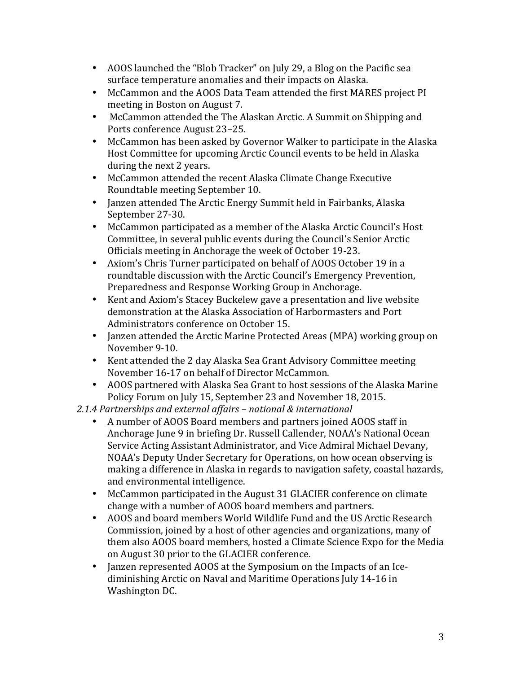- AOOS launched the "Blob Tracker" on July 29, a Blog on the Pacific sea surface temperature anomalies and their impacts on Alaska.
- McCammon and the AOOS Data Team attended the first MARES project PI meeting in Boston on August 7.
- McCammon attended the The Alaskan Arctic. A Summit on Shipping and Ports conference August 23-25.
- McCammon has been asked by Governor Walker to participate in the Alaska Host Committee for upcoming Arctic Council events to be held in Alaska during the next 2 years.
- McCammon attended the recent Alaska Climate Change Executive Roundtable meeting September 10.
- Janzen attended The Arctic Energy Summit held in Fairbanks, Alaska September 27-30.
- McCammon participated as a member of the Alaska Arctic Council's Host Committee, in several public events during the Council's Senior Arctic Officials meeting in Anchorage the week of October 19-23.
- Axiom's Chris Turner participated on behalf of AOOS October 19 in a roundtable discussion with the Arctic Council's Emergency Prevention, Preparedness and Response Working Group in Anchorage.
- Kent and Axiom's Stacey Buckelew gave a presentation and live website demonstration at the Alaska Association of Harbormasters and Port Administrators conference on October 15.
- Janzen attended the Arctic Marine Protected Areas (MPA) working group on November 9-10.
- Kent attended the 2 day Alaska Sea Grant Advisory Committee meeting November 16-17 on behalf of Director McCammon.
- AOOS partnered with Alaska Sea Grant to host sessions of the Alaska Marine Policy Forum on July 15, September 23 and November 18, 2015.
- *2.1.4 Partnerships and external affairs – national & international*
	- A number of AOOS Board members and partners joined AOOS staff in Anchorage June 9 in briefing Dr. Russell Callender, NOAA's National Ocean Service Acting Assistant Administrator, and Vice Admiral Michael Devany, NOAA's Deputy Under Secretary for Operations, on how ocean observing is making a difference in Alaska in regards to navigation safety, coastal hazards, and environmental intelligence.
	- McCammon participated in the August 31 GLACIER conference on climate change with a number of AOOS board members and partners.
	- AOOS and board members World Wildlife Fund and the US Arctic Research Commission, joined by a host of other agencies and organizations, many of them also AOOS board members, hosted a Climate Science Expo for the Media on August 30 prior to the GLACIER conference.
	- Janzen represented AOOS at the Symposium on the Impacts of an Icediminishing Arctic on Naval and Maritime Operations July 14-16 in Washington DC.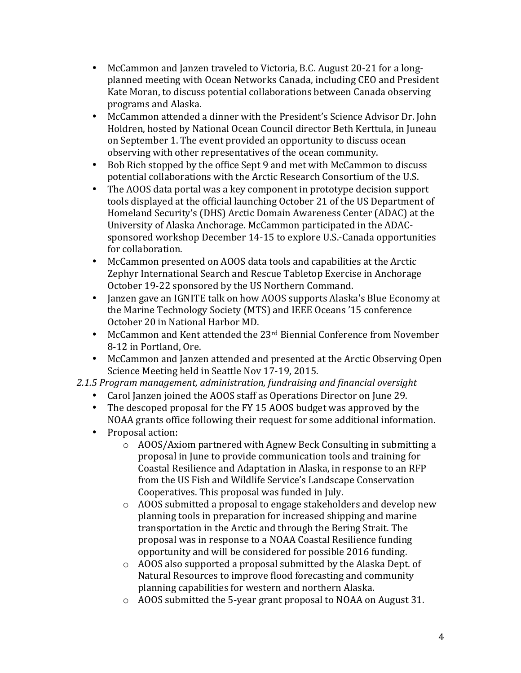- McCammon and Janzen traveled to Victoria, B.C. August 20-21 for a longplanned meeting with Ocean Networks Canada, including CEO and President Kate Moran, to discuss potential collaborations between Canada observing programs and Alaska.
- McCammon attended a dinner with the President's Science Advisor Dr. John Holdren, hosted by National Ocean Council director Beth Kerttula, in Juneau on September 1. The event provided an opportunity to discuss ocean observing with other representatives of the ocean community.
- Bob Rich stopped by the office Sept 9 and met with McCammon to discuss potential collaborations with the Arctic Research Consortium of the U.S.
- The AOOS data portal was a key component in prototype decision support tools displayed at the official launching October 21 of the US Department of Homeland Security's (DHS) Arctic Domain Awareness Center (ADAC) at the University of Alaska Anchorage. McCammon participated in the ADACsponsored workshop December 14-15 to explore U.S.-Canada opportunities for collaboration.
- McCammon presented on AOOS data tools and capabilities at the Arctic Zephyr International Search and Rescue Tabletop Exercise in Anchorage October 19-22 sponsored by the US Northern Command.
- Janzen gave an IGNITE talk on how AOOS supports Alaska's Blue Economy at the Marine Technology Society (MTS) and IEEE Oceans '15 conference October 20 in National Harbor MD.
- McCammon and Kent attended the  $23<sup>rd</sup>$  Biennial Conference from November 8-12 in Portland, Ore.
- McCammon and Janzen attended and presented at the Arctic Observing Open Science Meeting held in Seattle Nov 17-19, 2015.
- 2.1.5 Program management, administration, fundraising and financial oversight
	- Carol Janzen joined the AOOS staff as Operations Director on June 29.
	- The descoped proposal for the FY 15 AOOS budget was approved by the NOAA grants office following their request for some additional information.
	- Proposal action:
		- $\circ$  AOOS/Axiom partnered with Agnew Beck Consulting in submitting a proposal in June to provide communication tools and training for Coastal Resilience and Adaptation in Alaska, in response to an RFP from the US Fish and Wildlife Service's Landscape Conservation Cooperatives. This proposal was funded in July.
		- $\circ$  AOOS submitted a proposal to engage stakeholders and develop new planning tools in preparation for increased shipping and marine transportation in the Arctic and through the Bering Strait. The proposal was in response to a NOAA Coastal Resilience funding opportunity and will be considered for possible 2016 funding.
		- $\circ$  AOOS also supported a proposal submitted by the Alaska Dept. of Natural Resources to improve flood forecasting and community planning capabilities for western and northern Alaska.
		- $\circ$  AOOS submitted the 5-year grant proposal to NOAA on August 31.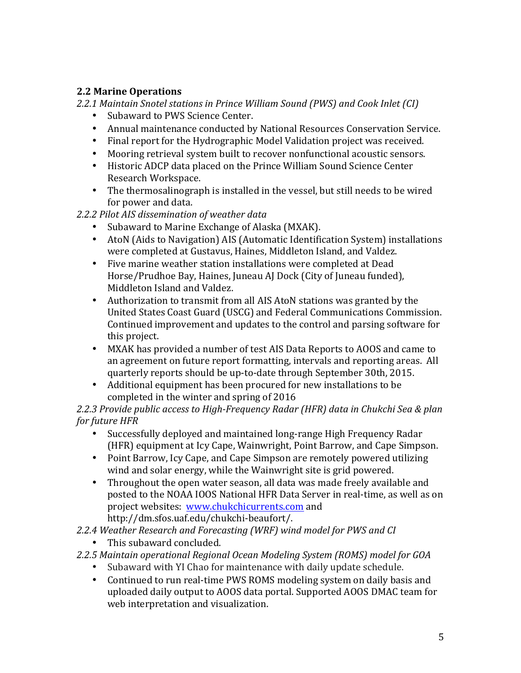### **2.2 Marine Operations**

*2.2.1 Maintain Snotel stations in Prince William Sound (PWS) and Cook Inlet (CI)*

- Subaward to PWS Science Center.
- Annual maintenance conducted by National Resources Conservation Service.
- Final report for the Hydrographic Model Validation project was received.
- Mooring retrieval system built to recover nonfunctional acoustic sensors.
- Historic ADCP data placed on the Prince William Sound Science Center Research Workspace.
- The thermosalinograph is installed in the vessel, but still needs to be wired for power and data.
- *2.2.2 Pilot AIS dissemination of weather data*
	- Subaward to Marine Exchange of Alaska (MXAK).
	- AtoN (Aids to Navigation) AIS (Automatic Identification System) installations were completed at Gustavus, Haines, Middleton Island, and Valdez.
	- Five marine weather station installations were completed at Dead Horse/Prudhoe Bay, Haines, Juneau AJ Dock (City of Juneau funded), Middleton Island and Valdez.
	- Authorization to transmit from all AIS AtoN stations was granted by the United States Coast Guard (USCG) and Federal Communications Commission. Continued improvement and updates to the control and parsing software for this project.
	- MXAK has provided a number of test AIS Data Reports to AOOS and came to an agreement on future report formatting, intervals and reporting areas. All quarterly reports should be up-to-date through September 30th, 2015.
	- Additional equipment has been procured for new installations to be completed in the winter and spring of 2016

2.2.3 Provide public access to High-Frequency Radar (HFR) data in Chukchi Sea & plan *for future HFR* 

- Successfully deployed and maintained long-range High Frequency Radar (HFR) equipment at Icy Cape, Wainwright, Point Barrow, and Cape Simpson.
- Point Barrow, Icy Cape, and Cape Simpson are remotely powered utilizing wind and solar energy, while the Wainwright site is grid powered.
- Throughout the open water season, all data was made freely available and posted to the NOAA IOOS National HFR Data Server in real-time, as well as on project websites: www.chukchicurrents.com and http://dm.sfos.uaf.edu/chukchi-beaufort/.
- *2.2.4 Weather Research and Forecasting (WRF) wind model for PWS and CI*
	- This subaward concluded.

#### *2.2.5 Maintain operational Regional Ocean Modeling System (ROMS) model for GOA*

- Subaward with YI Chao for maintenance with daily update schedule.
- Continued to run real-time PWS ROMS modeling system on daily basis and uploaded daily output to AOOS data portal. Supported AOOS DMAC team for web interpretation and visualization.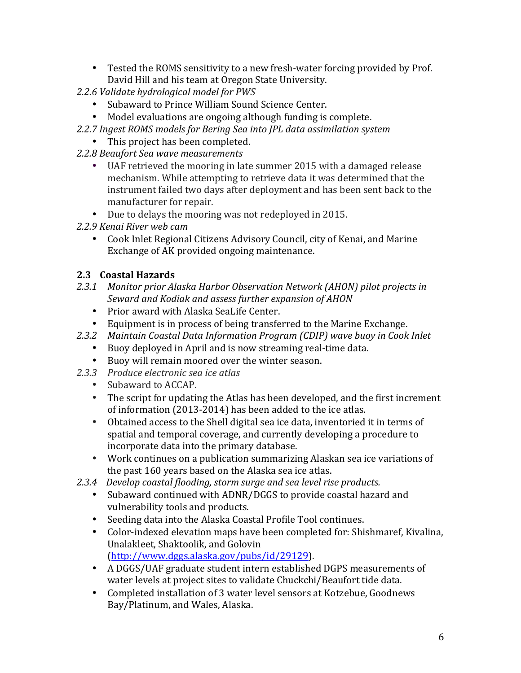- Tested the ROMS sensitivity to a new fresh-water forcing provided by Prof. David Hill and his team at Oregon State University.
- 2.2.6 Validate hydrological model for PWS
	- Subaward to Prince William Sound Science Center.
	- Model evaluations are ongoing although funding is complete.
- 2.2.7 Ingest ROMS models for Bering Sea into JPL data assimilation system
	- This project has been completed.
- *2.2.8 Beaufort Sea wave measurements*
	- UAF retrieved the mooring in late summer 2015 with a damaged release mechanism. While attempting to retrieve data it was determined that the instrument failed two days after deployment and has been sent back to the manufacturer for repair.
	- Due to delays the mooring was not redeployed in 2015.
- *2.2.9 Kenai River web cam*
	- Cook Inlet Regional Citizens Advisory Council, city of Kenai, and Marine Exchange of AK provided ongoing maintenance.

### **2.3 Coastal Hazards**

- 2.3.1 Monitor prior Alaska Harbor Observation Network (AHON) pilot projects in *Seward and Kodiak and assess further expansion of AHON*
	- Prior award with Alaska SeaLife Center.
	- Equipment is in process of being transferred to the Marine Exchange.
- *2.3.2 Maintain Coastal Data Information Program (CDIP) wave buoy in Cook Inlet*
	- Buoy deployed in April and is now streaming real-time data.
	- Buoy will remain moored over the winter season.
- *2.3.3 Produce electronic sea ice atlas*
	- Subaward to ACCAP.
	- The script for updating the Atlas has been developed, and the first increment of information  $(2013-2014)$  has been added to the ice atlas.
	- Obtained access to the Shell digital sea ice data, inventoried it in terms of spatial and temporal coverage, and currently developing a procedure to incorporate data into the primary database.
	- Work continues on a publication summarizing Alaskan sea ice variations of the past 160 years based on the Alaska sea ice atlas.
- 2.3.4 Develop coastal flooding, storm surge and sea level rise products.
	- Subaward continued with ADNR/DGGS to provide coastal hazard and vulnerability tools and products.
	- Seeding data into the Alaska Coastal Profile Tool continues.
	- Color-indexed elevation maps have been completed for: Shishmaref, Kivalina, Unalakleet, Shaktoolik, and Golovin [\(http://www.dggs.alaska.gov/pubs/id/29129](http://www.dggs.alaska.gov/pubs/id/29129)).
	- A DGGS/UAF graduate student intern established DGPS measurements of water levels at project sites to validate Chuckchi/Beaufort tide data.
	- Completed installation of 3 water level sensors at Kotzebue, Goodnews Bay/Platinum, and Wales, Alaska.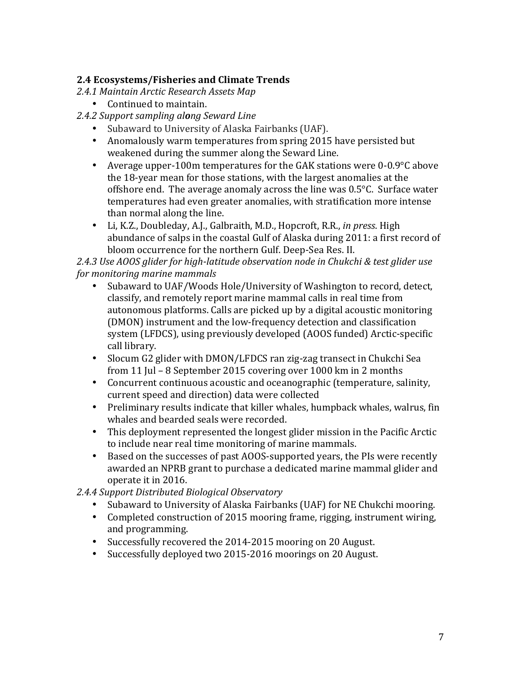### **2.4 Ecosystems/Fisheries and Climate Trends**

- *2.4.1 Maintain Arctic Research Assets Map*
	- Continued to maintain.
- *2.4.2 Support sampling along Seward Line*
	- Subaward to University of Alaska Fairbanks (UAF).
	- Anomalously warm temperatures from spring 2015 have persisted but weakened during the summer along the Seward Line.
	- Average upper-100m temperatures for the GAK stations were  $0$ -0.9 $\degree$ C above the 18-year mean for those stations, with the largest anomalies at the offshore end. The average anomaly across the line was  $0.5^{\circ}$ C. Surface water temperatures had even greater anomalies, with stratification more intense than normal along the line.
	- Li, K.Z., Doubleday, A.J., Galbraith, M.D., Hopcroft, R.R., *in press.* High abundance of salps in the coastal Gulf of Alaska during 2011: a first record of bloom occurrence for the northern Gulf. Deep-Sea Res. II.

2.4.3 Use AOOS glider for high-latitude observation node in Chukchi & test glider use *for monitoring marine mammals* 

- Subaward to UAF/Woods Hole/University of Washington to record, detect, classify, and remotely report marine mammal calls in real time from autonomous platforms. Calls are picked up by a digital acoustic monitoring (DMON) instrument and the low-frequency detection and classification system (LFDCS), using previously developed (AOOS funded) Arctic-specific call library.
- Slocum G2 glider with DMON/LFDCS ran zig-zag transect in Chukchi Sea from 11 Jul – 8 September 2015 covering over  $1000 \text{ km}$  in 2 months
- Concurrent continuous acoustic and oceanographic (temperature, salinity, current speed and direction) data were collected
- Preliminary results indicate that killer whales, humpback whales, walrus, fin whales and bearded seals were recorded.
- This deployment represented the longest glider mission in the Pacific Arctic to include near real time monitoring of marine mammals.
- Based on the successes of past AOOS-supported years, the PIs were recently awarded an NPRB grant to purchase a dedicated marine mammal glider and operate it in 2016.
- *2.4.4 Support Distributed Biological Observatory*
	- Subaward to University of Alaska Fairbanks (UAF) for NE Chukchi mooring.
	- Completed construction of 2015 mooring frame, rigging, instrument wiring, and programming.
	- Successfully recovered the 2014-2015 mooring on 20 August.
	- Successfully deployed two 2015-2016 moorings on 20 August.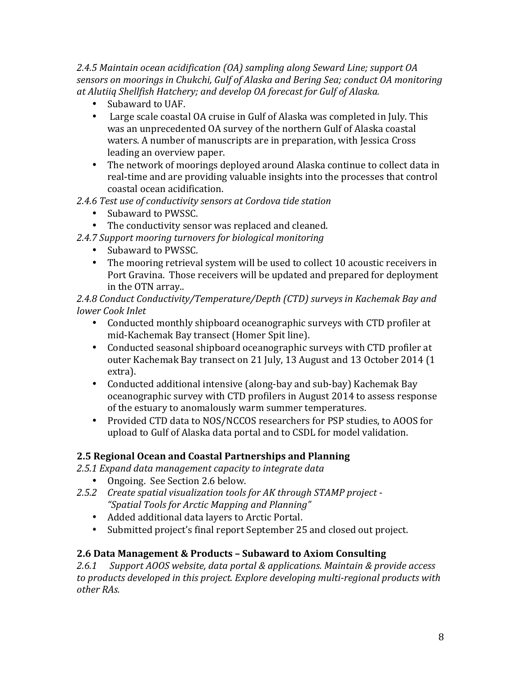*2.4.5 Maintain ocean acidification (OA) sampling along Seward Line; support OA*  sensors on moorings in Chukchi, Gulf of Alaska and Bering Sea; conduct OA monitoring *at Alutiiq Shellfish Hatchery; and develop OA forecast for Gulf of Alaska.*

- Subaward to UAF.
- Large scale coastal OA cruise in Gulf of Alaska was completed in July. This was an unprecedented OA survey of the northern Gulf of Alaska coastal waters. A number of manuscripts are in preparation, with Jessica Cross leading an overview paper.
- The network of moorings deployed around Alaska continue to collect data in real-time and are providing valuable insights into the processes that control coastal ocean acidification.
- 2.4.6 Test use of conductivity sensors at Cordova tide station
	- Subaward to PWSSC.
	- The conductivity sensor was replaced and cleaned.

2.4.7 Support mooring turnovers for biological monitoring

- Subaward to PWSSC.
- The mooring retrieval system will be used to collect 10 acoustic receivers in Port Gravina. Those receivers will be updated and prepared for deployment in the OTN array..

2.4.8 Conduct Conductivity/Temperature/Depth (CTD) surveys in Kachemak Bay and *lower Cook Inlet*

- Conducted monthly shipboard oceanographic surveys with CTD profiler at mid-Kachemak Bay transect (Homer Spit line).
- Conducted seasonal shipboard oceanographic surveys with CTD profiler at outer Kachemak Bay transect on 21 July, 13 August and 13 October 2014 (1) extra).
- Conducted additional intensive (along-bay and sub-bay) Kachemak Bay oceanographic survey with CTD profilers in August 2014 to assess response of the estuary to anomalously warm summer temperatures.
- Provided CTD data to NOS/NCCOS researchers for PSP studies, to AOOS for upload to Gulf of Alaska data portal and to CSDL for model validation.

## **2.5 Regional Ocean and Coastal Partnerships and Planning**

2.5.1 Expand data management capacity to integrate data

- Ongoing. See Section 2.6 below.
- 2.5.2 Create spatial visualization tools for AK through STAMP project -*"Spatial Tools for Arctic Mapping and Planning"*
	- Added additional data layers to Arctic Portal.
	- Submitted project's final report September 25 and closed out project.

#### **2.6 Data Management & Products – Subaward to Axiom Consulting**

2.6.1 Support AOOS website, data portal & applications. Maintain & provide access to products developed in this project. Explore developing multi-regional products with *other RAs.*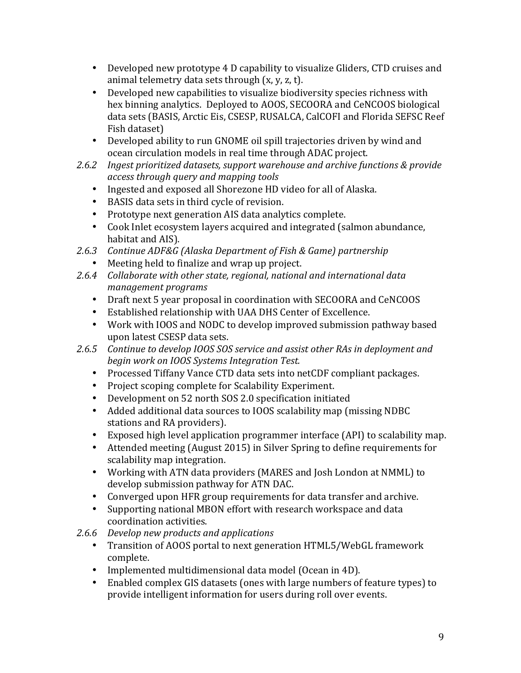- Developed new prototype 4 D capability to visualize Gliders, CTD cruises and animal telemetry data sets through  $(x, y, z, t)$ .
- Developed new capabilities to visualize biodiversity species richness with hex binning analytics. Deployed to AOOS, SECOORA and CeNCOOS biological data sets (BASIS, Arctic Eis, CSESP, RUSALCA, CalCOFI and Florida SEFSC Reef Fish dataset)
- Developed ability to run GNOME oil spill trajectories driven by wind and ocean circulation models in real time through ADAC project.
- 2.6.2 Ingest prioritized datasets, support warehouse and archive functions & provide *access through query and mapping tools*
	- Ingested and exposed all Shorezone HD video for all of Alaska.
	- BASIS data sets in third cycle of revision.
	- Prototype next generation AIS data analytics complete.
	- Cook Inlet ecosystem layers acquired and integrated (salmon abundance, habitat and AIS).
- 2.6.3 Continue ADF&G (Alaska Department of Fish & Game) partnership
	- Meeting held to finalize and wrap up project.
- 2.6.4 Collaborate with other state, regional, national and international data *management programs*
	- Draft next 5 year proposal in coordination with SECOORA and CeNCOOS
	- Established relationship with UAA DHS Center of Excellence.
	- Work with IOOS and NODC to develop improved submission pathway based upon latest CSESP data sets.
- 2.6.5 Continue to develop IOOS SOS service and assist other RAs in deployment and *begin work on IOOS Systems Integration Test.*
	- Processed Tiffany Vance CTD data sets into netCDF compliant packages.
	- Project scoping complete for Scalability Experiment.
	- Development on 52 north SOS 2.0 specification initiated
	- Added additional data sources to IOOS scalability map (missing NDBC) stations and RA providers).
	- Exposed high level application programmer interface (API) to scalability map.
	- Attended meeting (August 2015) in Silver Spring to define requirements for scalability map integration.
	- Working with ATN data providers (MARES and Josh London at NMML) to develop submission pathway for ATN DAC.
	- Converged upon HFR group requirements for data transfer and archive.
	- Supporting national MBON effort with research workspace and data coordination activities.
- 2.6.6 *Develop new products and applications* 
	- Transition of AOOS portal to next generation HTML5/WebGL framework complete.
	- Implemented multidimensional data model (Ocean in 4D).
	- Enabled complex GIS datasets (ones with large numbers of feature types) to provide intelligent information for users during roll over events.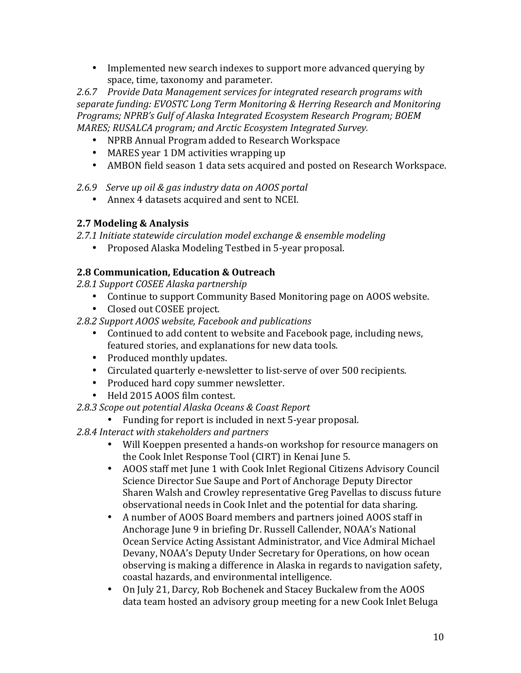• Implemented new search indexes to support more advanced querying by space, time, taxonomy and parameter.

2.6.7 Provide Data Management services for integrated research programs with separate funding: EVOSTC Long Term Monitoring & Herring Research and Monitoring Programs; NPRB's Gulf of Alaska Integrated *Ecosystem Research Program; BOEM MARES; RUSALCA program; and Arctic Ecosystem Integrated Survey.* 

- NPRB Annual Program added to Research Workspace
- MARES year 1 DM activities wrapping up
- AMBON field season 1 data sets acquired and posted on Research Workspace.

*2.6.9 Serve up oil & gas industry data on AOOS portal*

• Annex 4 datasets acquired and sent to NCEI.

#### **2.7 Modeling & Analysis**

2.7.1 Initiate statewide circulation model exchange & ensemble modeling

• Proposed Alaska Modeling Testbed in 5-year proposal.

### **2.8 Communication, Education & Outreach**

*2.8.1 Support COSEE Alaska partnership*

- Continue to support Community Based Monitoring page on AOOS website.
- Closed out COSEE project.
- *2.8.2 Support AOOS website, Facebook and publications*
	- Continued to add content to website and Facebook page, including news, featured stories, and explanations for new data tools.
	- Produced monthly updates.
	- Circulated quarterly e-newsletter to list-serve of over 500 recipients.
	- Produced hard copy summer newsletter.
	- Held 2015 AOOS film contest.

## *2.8.3 Scope out potential Alaska Oceans & Coast Report*

• Funding for report is included in next 5-year proposal.

2.8.4 Interact with stakeholders and partners

- Will Koeppen presented a hands-on workshop for resource managers on the Cook Inlet Response Tool (CIRT) in Kenai June 5.
- AOOS staff met June 1 with Cook Inlet Regional Citizens Advisory Council Science Director Sue Saupe and Port of Anchorage Deputy Director Sharen Walsh and Crowley representative Greg Pavellas to discuss future observational needs in Cook Inlet and the potential for data sharing.
- A number of AOOS Board members and partners joined AOOS staff in Anchorage June 9 in briefing Dr. Russell Callender, NOAA's National Ocean Service Acting Assistant Administrator, and Vice Admiral Michael Devany, NOAA's Deputy Under Secretary for Operations, on how ocean observing is making a difference in Alaska in regards to navigation safety, coastal hazards, and environmental intelligence.
- On July 21, Darcy, Rob Bochenek and Stacey Buckalew from the AOOS data team hosted an advisory group meeting for a new Cook Inlet Beluga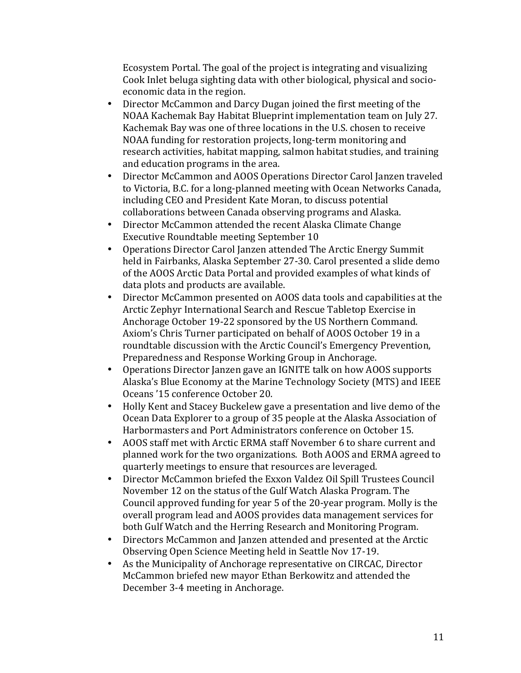Ecosystem Portal. The goal of the project is integrating and visualizing Cook Inlet beluga sighting data with other biological, physical and socioeconomic data in the region.

- Director McCammon and Darcy Dugan joined the first meeting of the NOAA Kachemak Bay Habitat Blueprint implementation team on July 27. Kachemak Bay was one of three locations in the U.S. chosen to receive NOAA funding for restoration projects, long-term monitoring and research activities, habitat mapping, salmon habitat studies, and training and education programs in the area.
- Director McCammon and AOOS Operations Director Carol Janzen traveled to Victoria, B.C. for a long-planned meeting with Ocean Networks Canada, including CEO and President Kate Moran, to discuss potential collaborations between Canada observing programs and Alaska.
- Director McCammon attended the recent Alaska Climate Change Executive Roundtable meeting September 10
- Operations Director Carol Janzen attended The Arctic Energy Summit held in Fairbanks, Alaska September 27-30. Carol presented a slide demo of the AOOS Arctic Data Portal and provided examples of what kinds of data plots and products are available.
- Director McCammon presented on AOOS data tools and capabilities at the Arctic Zephyr International Search and Rescue Tabletop Exercise in Anchorage October 19-22 sponsored by the US Northern Command. Axiom's Chris Turner participated on behalf of AOOS October 19 in a roundtable discussion with the Arctic Council's Emergency Prevention, Preparedness and Response Working Group in Anchorage.
- Operations Director Janzen gave an IGNITE talk on how AOOS supports Alaska's Blue Economy at the Marine Technology Society (MTS) and IEEE Oceans '15 conference October 20.
- Holly Kent and Stacey Buckelew gave a presentation and live demo of the Ocean Data Explorer to a group of 35 people at the Alaska Association of Harbormasters and Port Administrators conference on October 15.
- AOOS staff met with Arctic ERMA staff November 6 to share current and planned work for the two organizations. Both AOOS and ERMA agreed to quarterly meetings to ensure that resources are leveraged.
- Director McCammon briefed the Exxon Valdez Oil Spill Trustees Council November 12 on the status of the Gulf Watch Alaska Program. The Council approved funding for year 5 of the 20-year program. Molly is the overall program lead and AOOS provides data management services for both Gulf Watch and the Herring Research and Monitoring Program.
- Directors McCammon and Janzen attended and presented at the Arctic Observing Open Science Meeting held in Seattle Nov 17-19.
- As the Municipality of Anchorage representative on CIRCAC, Director McCammon briefed new mayor Ethan Berkowitz and attended the December 3-4 meeting in Anchorage.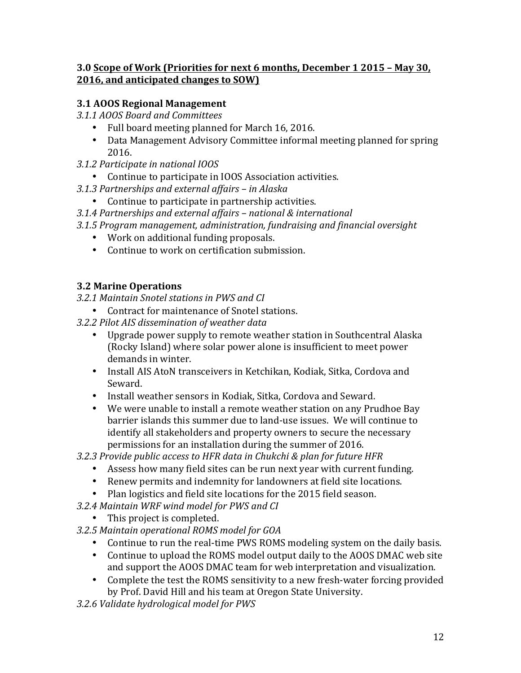#### **3.0 Scope of Work (Priorities for next 6 months, December 1 2015 - May 30, 2016, and anticipated changes to SOW)**

## **3.1 AOOS Regional Management**

*3.1.1 AOOS Board and Committees*

- Full board meeting planned for March 16, 2016.
- Data Management Advisory Committee informal meeting planned for spring 2016.
- *3.1.2 Participate in national IOOS*
	- Continue to participate in IOOS Association activities.
- *3.1.3 Partnerships and external affairs – in Alaska*
	- Continue to participate in partnership activities.
- *3.1.4 Partnerships and external affairs – national & international*
- *3.1.5 Program management, administration, fundraising and financial oversight*
	- Work on additional funding proposals.
	- $\bullet$  Continue to work on certification submission.

### **3.2 Marine Operations**

*3.2.1 Maintain Snotel stations in PWS and CI*

- Contract for maintenance of Snotel stations.
- *3.2.2 Pilot AIS dissemination of weather data*
	- Upgrade power supply to remote weather station in Southcentral Alaska (Rocky Island) where solar power alone is insufficient to meet power demands in winter.
	- Install AIS AtoN transceivers in Ketchikan, Kodiak, Sitka, Cordova and Seward.
	- Install weather sensors in Kodiak, Sitka, Cordova and Seward.
	- We were unable to install a remote weather station on any Prudhoe Bay barrier islands this summer due to land-use issues. We will continue to identify all stakeholders and property owners to secure the necessary permissions for an installation during the summer of 2016.

*3.2.3 Provide public access to HFR data in Chukchi & plan for future HFR*

- Assess how many field sites can be run next year with current funding.
- Renew permits and indemnity for landowners at field site locations.
- Plan logistics and field site locations for the 2015 field season.
- *3.2.4 Maintain WRF wind model for PWS and CI*
	- This project is completed.
- *3.2.5 Maintain operational ROMS model for GOA*
	- Continue to run the real-time PWS ROMS modeling system on the daily basis.
	- Continue to upload the ROMS model output daily to the AOOS DMAC web site and support the AOOS DMAC team for web interpretation and visualization.
	- Complete the test the ROMS sensitivity to a new fresh-water forcing provided by Prof. David Hill and his team at Oregon State University.
- *3.2.6 Validate hydrological model for PWS*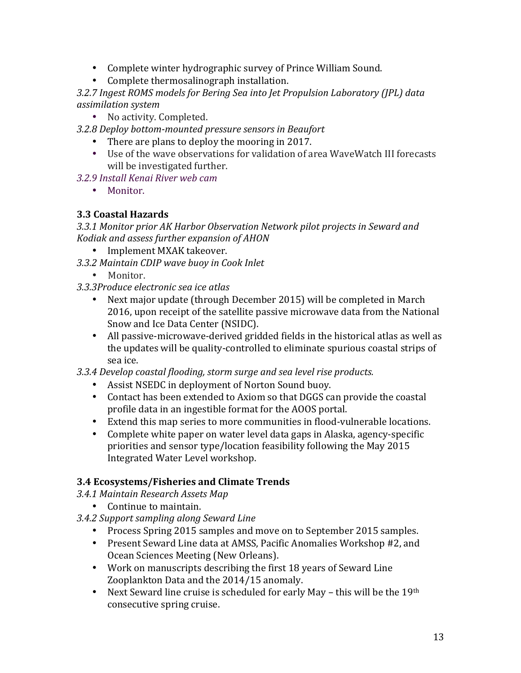- Complete winter hydrographic survey of Prince William Sound.
- Complete thermosalinograph installation.

3.2.7 Ingest ROMS models for Bering Sea into Jet Propulsion Laboratory (JPL) data *assimilation system*

• No activity. Completed.

*3.2.8 Deploy bottom-mounted pressure sensors in Beaufort*

- There are plans to deploy the mooring in 2017.
- Use of the wave observations for validation of area WaveWatch III forecasts will be investigated further.
- *3.2.9 Install Kenai River web cam*
	- Monitor.

#### **3.3 Coastal Hazards**

3.3.1 Monitor prior AK Harbor Observation Network pilot projects in Seward and *Kodiak and assess further expansion of AHON*

- Implement MXAK takeover.
- *3.3.2 Maintain CDIP wave buoy in Cook Inlet*
	- Monitor.
- *3.3.3Produce electronic sea ice atlas*
	- Next major update (through December 2015) will be completed in March 2016, upon receipt of the satellite passive microwave data from the National Snow and Ice Data Center (NSIDC).
	- All passive-microwave-derived gridded fields in the historical atlas as well as the updates will be quality-controlled to eliminate spurious coastal strips of sea ice.

*3.3.4 Develop coastal flooding, storm surge and sea level rise products.*

- Assist NSEDC in deployment of Norton Sound buoy.
- Contact has been extended to Axiom so that DGGS can provide the coastal profile data in an ingestible format for the AOOS portal.
- Extend this map series to more communities in flood-vulnerable locations.
- Complete white paper on water level data gaps in Alaska, agency-specific priorities and sensor type/location feasibility following the May 2015 Integrated Water Level workshop.

#### **3.4 Ecosystems/Fisheries and Climate Trends**

*3.4.1 Maintain Research Assets Map*

- Continue to maintain.
- *3.4.2 Support sampling along Seward Line*
	- Process Spring 2015 samples and move on to September 2015 samples.
	- Present Seward Line data at AMSS, Pacific Anomalies Workshop #2, and Ocean Sciences Meeting (New Orleans).
	- Work on manuscripts describing the first 18 years of Seward Line Zooplankton Data and the 2014/15 anomaly.
	- Next Seward line cruise is scheduled for early May this will be the 19th consecutive spring cruise.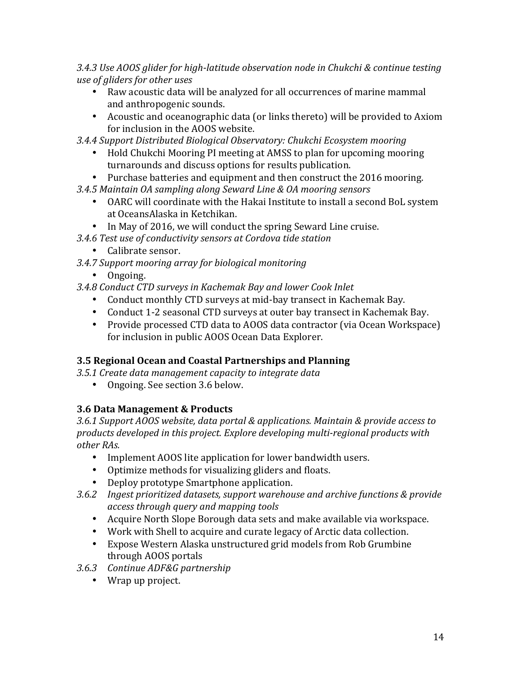*3.4.3 Use AOOS glider for high-latitude observation node in Chukchi & continue testing use of gliders for other uses*

- Raw acoustic data will be analyzed for all occurrences of marine mammal and anthropogenic sounds.
- Acoustic and oceanographic data (or links thereto) will be provided to Axiom for inclusion in the AOOS website.
- *3.4.4 Support Distributed Biological Observatory: Chukchi Ecosystem mooring*
	- Hold Chukchi Mooring PI meeting at AMSS to plan for upcoming mooring turnarounds and discuss options for results publication.
	- Purchase batteries and equipment and then construct the 2016 mooring.
- *3.4.5 Maintain OA sampling along Seward Line & OA mooring sensors*
	- OARC will coordinate with the Hakai Institute to install a second BoL system at OceansAlaska in Ketchikan.
	- In May of 2016, we will conduct the spring Seward Line cruise.
- *3.4.6 Test use of conductivity sensors at Cordova tide station*
	- Calibrate sensor.
- *3.4.7 Support mooring array for biological monitoring*
	- Ongoing.
- *3.4.8 Conduct CTD surveys in Kachemak Bay and lower Cook Inlet*
	- Conduct monthly CTD surveys at mid-bay transect in Kachemak Bay.
	- Conduct 1-2 seasonal CTD surveys at outer bay transect in Kachemak Bay.
	- Provide processed CTD data to AOOS data contractor (via Ocean Workspace) for inclusion in public AOOS Ocean Data Explorer.

## **3.5 Regional Ocean and Coastal Partnerships and Planning**

*3.5.1 Create data management capacity to integrate data*

• Ongoing. See section 3.6 below.

# **3.6 Data Management & Products**

3.6.1 Support AOOS website, data portal & applications. Maintain & provide access to products developed in this project. Explore developing multi-regional products with *other RAs.*

- Implement AOOS lite application for lower bandwidth users.
- Optimize methods for visualizing gliders and floats.
- Deploy prototype Smartphone application.
- 3.6.2 Ingest prioritized datasets, support warehouse and archive functions & provide *access through query and mapping tools*
	- Acquire North Slope Borough data sets and make available via workspace.
	- Work with Shell to acquire and curate legacy of Arctic data collection.
	- Expose Western Alaska unstructured grid models from Rob Grumbine through AOOS portals
- *3.6.3 Continue ADF&G partnership*
	- Wrap up project.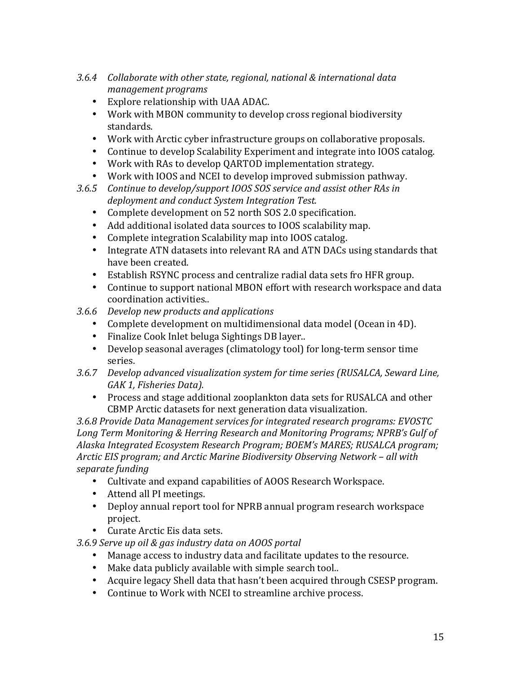- 3.6.4 Collaborate with other state, regional, national & international data *management programs*
	- Explore relationship with UAA ADAC.
	- Work with MBON community to develop cross regional biodiversity standards.
	- Work with Arctic cyber infrastructure groups on collaborative proposals.
	- Continue to develop Scalability Experiment and integrate into IOOS catalog.
	- Work with RAs to develop QARTOD implementation strategy.
	- Work with IOOS and NCEI to develop improved submission pathway.
- 3.6.5 Continue to develop/support IOOS SOS service and assist other RAs in *deployment and conduct System Integration Test.*
	- Complete development on 52 north SOS 2.0 specification.
	- Add additional isolated data sources to IOOS scalability map.
	- Complete integration Scalability map into IOOS catalog.
	- Integrate ATN datasets into relevant RA and ATN DACs using standards that have been created.
	- Establish RSYNC process and centralize radial data sets fro HFR group.
	- Continue to support national MBON effort with research workspace and data coordination activities..
- *3.6.6 Develop new products and applications* 
	- Complete development on multidimensional data model (Ocean in 4D).
	- Finalize Cook Inlet beluga Sightings DB layer..
	- Develop seasonal averages (climatology tool) for long-term sensor time series.
- 3.6.7 *Develop advanced visualization system for time series (RUSALCA, Seward Line,* GAK 1, Fisheries Data).
	- Process and stage additional zooplankton data sets for RUSALCA and other CBMP Arctic datasets for next generation data visualization.

*3.6.8 Provide Data Management services for integrated research programs: EVOSTC*  Long Term Monitoring & Herring Research and Monitoring Programs; NPRB's Gulf of Alaska Integrated *Ecosystem Research Program; BOEM's MARES; RUSALCA program; Arctic EIS program; and Arctic Marine Biodiversity Observing Network – all with separate funding*

- Cultivate and expand capabilities of AOOS Research Workspace.
- Attend all PI meetings.
- Deploy annual report tool for NPRB annual program research workspace project.
- Curate Arctic Eis data sets.

#### *3.6.9 Serve up oil & gas industry data on AOOS portal*

- Manage access to industry data and facilitate updates to the resource.
- Make data publicly available with simple search tool..
- Acquire legacy Shell data that hasn't been acquired through CSESP program.
- Continue to Work with NCEI to streamline archive process.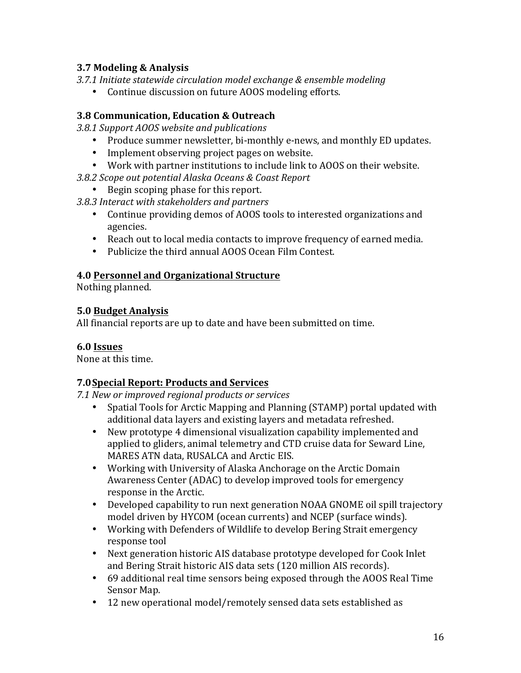#### **3.7 Modeling & Analysis**

- 3.7.1 Initiate statewide circulation model exchange & ensemble modeling
	- Continue discussion on future AOOS modeling efforts.

### **3.8 Communication, Education & Outreach**

*3.8.1 Support AOOS website and publications*

- Produce summer newsletter, bi-monthly e-news, and monthly ED updates.
- Implement observing project pages on website.
- Work with partner institutions to include link to AOOS on their website.
- *3.8.2 Scope out potential Alaska Oceans & Coast Report*
	- Begin scoping phase for this report.
- *3.8.3 Interact with stakeholders and partners*
	- Continue providing demos of AOOS tools to interested organizations and agencies.
	- Reach out to local media contacts to improve frequency of earned media.
	- Publicize the third annual AOOS Ocean Film Contest.

#### **4.0 Personnel and Organizational Structure**

Nothing planned.

#### **5.0 Budget Analysis**

All financial reports are up to date and have been submitted on time.

#### **6.0 Issues**

None at this time.

#### **7.0Special Report: Products and Services**

*7.1 New or improved regional products or services*

- Spatial Tools for Arctic Mapping and Planning (STAMP) portal updated with additional data layers and existing layers and metadata refreshed.
- New prototype 4 dimensional visualization capability implemented and applied to gliders, animal telemetry and CTD cruise data for Seward Line, MARES ATN data, RUSALCA and Arctic EIS.
- Working with University of Alaska Anchorage on the Arctic Domain Awareness Center (ADAC) to develop improved tools for emergency response in the Arctic.
- Developed capability to run next generation NOAA GNOME oil spill trajectory model driven by HYCOM (ocean currents) and NCEP (surface winds).
- Working with Defenders of Wildlife to develop Bering Strait emergency response tool
- Next generation historic AIS database prototype developed for Cook Inlet and Bering Strait historic AIS data sets (120 million AIS records).
- 69 additional real time sensors being exposed through the AOOS Real Time Sensor Map.
- 12 new operational model/remotely sensed data sets established as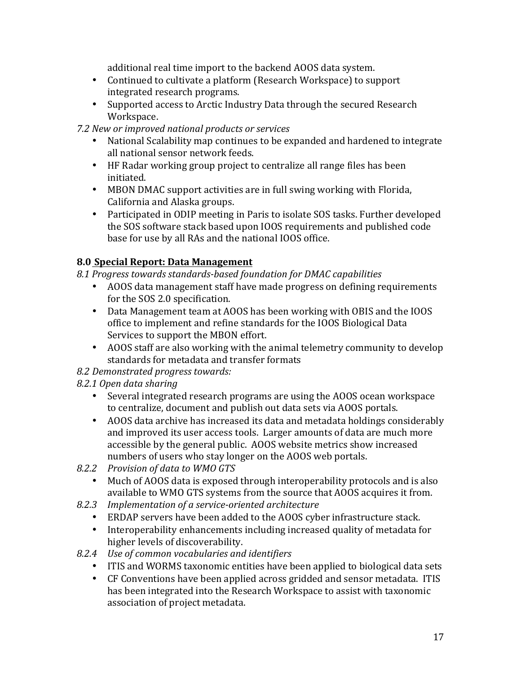additional real time import to the backend AOOS data system.

- Continued to cultivate a platform (Research Workspace) to support integrated research programs.
- Supported access to Arctic Industry Data through the secured Research Workspace.

*7.2 New or improved national products or services*

- National Scalability map continues to be expanded and hardened to integrate all national sensor network feeds.
- HF Radar working group project to centralize all range files has been initiated.
- MBON DMAC support activities are in full swing working with Florida, California and Alaska groups.
- Participated in ODIP meeting in Paris to isolate SOS tasks. Further developed the SOS software stack based upon IOOS requirements and published code base for use by all RAs and the national IOOS office.

## **8.0 Special Report: Data Management**

8.1 Progress towards standards-based foundation for DMAC capabilities

- AOOS data management staff have made progress on defining requirements for the SOS 2.0 specification.
- Data Management team at AOOS has been working with OBIS and the IOOS office to implement and refine standards for the IOOS Biological Data Services to support the MBON effort.
- AOOS staff are also working with the animal telemetry community to develop standards for metadata and transfer formats

#### *8.2 Demonstrated progress towards:*

#### *8.2.1 Open data sharing*

- Several integrated research programs are using the AOOS ocean workspace to centralize, document and publish out data sets via AOOS portals.
- AOOS data archive has increased its data and metadata holdings considerably and improved its user access tools. Larger amounts of data are much more accessible by the general public. AOOS website metrics show increased numbers of users who stay longer on the AOOS web portals.
- *8.2.2 Provision of data to WMO GTS*
	- Much of AOOS data is exposed through interoperability protocols and is also available to WMO GTS systems from the source that AOOS acquires it from.
- *8.2.3 Implementation of a service-oriented architecture*
	- ERDAP servers have been added to the AOOS cyber infrastructure stack.
	- Interoperability enhancements including increased quality of metadata for higher levels of discoverability.
- *8.2.4 Use of common vocabularies and identifiers*
	- ITIS and WORMS taxonomic entities have been applied to biological data sets
	- CF Conventions have been applied across gridded and sensor metadata. ITIS has been integrated into the Research Workspace to assist with taxonomic association of project metadata.